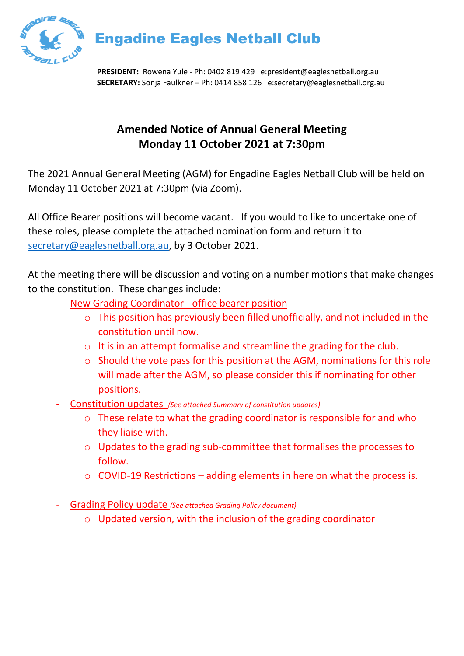

## Engadine Eagles Netball Club

**PRESIDENT:** Rowena Yule - Ph: 0402 819 429 e:president@eaglesnetball.org.au **SECRETARY:** Sonja Faulkner – Ph: 0414 858 126 e:secretary@eaglesnetball.org.au

## **Amended Notice of Annual General Meeting Monday 11 October 2021 at 7:30pm**

The 2021 Annual General Meeting (AGM) for Engadine Eagles Netball Club will be held on Monday 11 October 2021 at 7:30pm (via Zoom).

All Office Bearer positions will become vacant. If you would to like to undertake one of these roles, please complete the attached nomination form and return it to [secretary@eaglesnetball.org.au,](mailto:secretary@eaglesnetball.org.au) by 3 October 2021.

At the meeting there will be discussion and voting on a number motions that make changes to the constitution. These changes include:

- New Grading Coordinator office bearer position
	- o This position has previously been filled unofficially, and not included in the constitution until now.
	- o It is in an attempt formalise and streamline the grading for the club.
	- o Should the vote pass for this position at the AGM, nominations for this role will made after the AGM, so please consider this if nominating for other positions.
- Constitution updates *(See attached Summary of constitution updates)*
	- o These relate to what the grading coordinator is responsible for and who they liaise with.
	- o Updates to the grading sub-committee that formalises the processes to follow.
	- $\circ$  COVID-19 Restrictions adding elements in here on what the process is.
- Grading Policy update *(See attached Grading Policy document)*
	- o Updated version, with the inclusion of the grading coordinator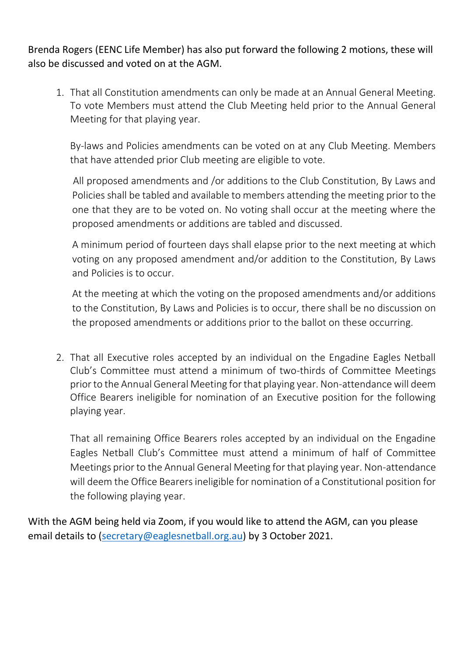Brenda Rogers (EENC Life Member) has also put forward the following 2 motions, these will also be discussed and voted on at the AGM.

1. That all Constitution amendments can only be made at an Annual General Meeting. To vote Members must attend the Club Meeting held prior to the Annual General Meeting for that playing year.

By-laws and Policies amendments can be voted on at any Club Meeting. Members that have attended prior Club meeting are eligible to vote.

 All proposed amendments and /or additions to the Club Constitution, By Laws and Policies shall be tabled and available to members attending the meeting prior to the one that they are to be voted on. No voting shall occur at the meeting where the proposed amendments or additions are tabled and discussed.

A minimum period of fourteen days shall elapse prior to the next meeting at which voting on any proposed amendment and/or addition to the Constitution, By Laws and Policies is to occur.

At the meeting at which the voting on the proposed amendments and/or additions to the Constitution, By Laws and Policies is to occur, there shall be no discussion on the proposed amendments or additions prior to the ballot on these occurring.

2. That all Executive roles accepted by an individual on the Engadine Eagles Netball Club's Committee must attend a minimum of two-thirds of Committee Meetings prior to the Annual General Meeting for that playing year. Non-attendance will deem Office Bearers ineligible for nomination of an Executive position for the following playing year.

That all remaining Office Bearers roles accepted by an individual on the Engadine Eagles Netball Club's Committee must attend a minimum of half of Committee Meetings prior to the Annual General Meeting for that playing year. Non-attendance will deem the Office Bearers ineligible for nomination of a Constitutional position for the following playing year.

With the AGM being held via Zoom, if you would like to attend the AGM, can you please email details to [\(secretary@eaglesnetball.org.au\)](mailto:secretary@eaglesnetball.org.au) by 3 October 2021.